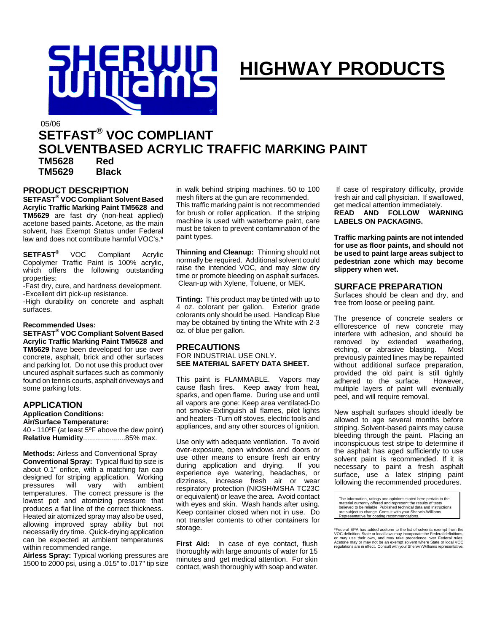

# **HIGHWAY PRODUCTS**

05/06

# **SETFAST® VOC COMPLIANT SOLVENTBASED ACRYLIC TRAFFIC MARKING PAINT**

**TM5628 Red TM5629 Black** 

#### **PRODUCT DESCRIPTION**

**SETFAST® VOC Compliant Solvent Based Acrylic Traffic Marking Paint TM5628 and TM5629** are fast dry (non-heat applied) acetone based paints. Acetone, as the main solvent, has Exempt Status under Federal law and does not contribute harmful VOC's.\*

**SETFAST®** VOC Compliant Acrylic Copolymer Traffic Paint is 100% acrylic, which offers the following outstanding properties:

-Fast dry, cure, and hardness development. -Excellent dirt pick-up resistance.

-High durability on concrete and asphalt surfaces.

#### **Recommended Uses:**

**SETFAST® VOC Compliant Solvent Based Acrylic Traffic Marking Paint TM5628 and TM5629** have been developed for use over concrete, asphalt, brick and other surfaces and parking lot. Do not use this product over uncured asphalt surfaces such as commonly found on tennis courts, asphalt driveways and some parking lots.

#### **APPLICATION**

**Application Conditions:** 

**Air/Surface Temperature:**

40 - 110ºF (at least 5ºF above the dew point) **Relative Humidity**.....................85% max.

**Methods:** Airless and Conventional Spray **Conventional Spray:** Typical fluid tip size is about 0.1" orifice, with a matching fan cap designed for striping application. Working<br>pressures will vary with ambient pressures will vary with ambient temperatures. The correct pressure is the lowest pot and atomizing pressure that produces a flat line of the correct thickness. Heated air atomized spray may also be used, allowing improved spray ability but not necessarily dry time. Quick-drying application can be expected at ambient temperatures within recommended range.

**Airless Spray:** Typical working pressures are 1500 to 2000 psi, using a .015" to .017" tip size in walk behind striping machines. 50 to 100 mesh filters at the gun are recommended. This traffic marking paint is not recommended for brush or roller application. If the striping machine is used with waterborne paint, care must be taken to prevent contamination of the paint types.

**Thinning and Cleanup:** Thinning should not normally be required. Additional solvent could raise the intended VOC, and may slow dry time or promote bleeding on asphalt surfaces. Clean-up with Xylene, Toluene, or MEK.

**Tinting:** This product may be tinted with up to 4 oz. colorant per gallon. Exterior grade colorants only should be used. Handicap Blue may be obtained by tinting the White with 2-3 oz. of blue per gallon.

#### **PRECAUTIONS**  FOR INDUSTRIAL USE ONLY. **SEE MATERIAL SAFETY DATA SHEET.**

This paint is FLAMMABLE. Vapors may cause flash fires. Keep away from heat, sparks, and open flame. During use and until all vapors are gone: Keep area ventilated-Do not smoke-Extinguish all flames, pilot lights and heaters -Turn off stoves, electric tools and appliances, and any other sources of ignition.

Use only with adequate ventilation. To avoid over-exposure, open windows and doors or use other means to ensure fresh air entry during application and drying. If you experience eye watering, headaches, or dizziness, increase fresh air or wear respiratory protection (NIOSH/MSHA TC23C or equivalent) or leave the area. Avoid contact with eyes and skin. Wash hands after using. Keep container closed when not in use. Do not transfer contents to other containers for storage.

**First Aid:** In case of eye contact, flush thoroughly with large amounts of water for 15 minutes and get medical attention. For skin contact, wash thoroughly with soap and water.

 If case of respiratory difficulty, provide fresh air and call physician. If swallowed, get medical attention immediately.<br> **READ AND FOLLOW WARNING READ AND FOLLOW LABELS ON PACKAGING.** 

**Traffic marking paints are not intended for use as floor paints, and should not be used to paint large areas subject to pedestrian zone which may become slippery when wet.**

#### **SURFACE PREPARATION**

Surfaces should be clean and dry, and free from loose or peeling paint.

The presence of concrete sealers or efflorescence of new concrete may interfere with adhesion, and should be removed by extended weathering, etching, or abrasive blasting. Most previously painted lines may be repainted without additional surface preparation, provided the old paint is still tightly adhered to the surface. However, multiple layers of paint will eventually peel, and will require removal.

New asphalt surfaces should ideally be allowed to age several months before striping. Solvent-based paints may cause bleeding through the paint. Placing an inconspicuous test stripe to determine if the asphalt has aged sufficiently to use solvent paint is recommended. If it is necessary to paint a fresh asphalt surface, use a latex striping paint following the recommended procedures.

The information, ratings and opinions stated here pertain to the<br>material currently offered and represent the results of tests<br>believed to be reliable. Published technical data and instructions<br>are subject to change. Consu

\*Federal EPA has added acetone to the list of solvents exempt from the VOC definition. State or local laws may incorporate the Federal definitions, or may use their own, and may take precedence over Federal rules. Acetone may or may not be an exempt solvent where State or local VOC regulations are in effect. Consult with your Sherwin Williams representative.